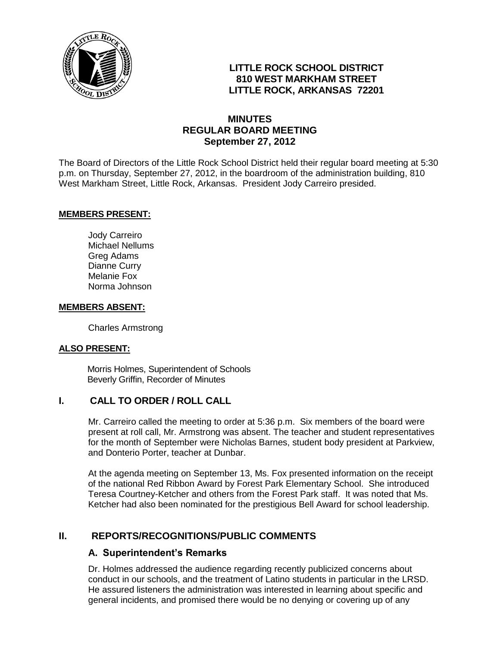

# **LITTLE ROCK SCHOOL DISTRICT 810 WEST MARKHAM STREET LITTLE ROCK, ARKANSAS 72201**

# **MINUTES REGULAR BOARD MEETING September 27, 2012**

The Board of Directors of the Little Rock School District held their regular board meeting at 5:30 p.m. on Thursday, September 27, 2012, in the boardroom of the administration building, 810 West Markham Street, Little Rock, Arkansas. President Jody Carreiro presided.

#### **MEMBERS PRESENT:**

Jody Carreiro Michael Nellums Greg Adams Dianne Curry Melanie Fox Norma Johnson

#### **MEMBERS ABSENT:**

Charles Armstrong

### **ALSO PRESENT:**

 Morris Holmes, Superintendent of Schools Beverly Griffin, Recorder of Minutes

# **I. CALL TO ORDER / ROLL CALL**

Mr. Carreiro called the meeting to order at 5:36 p.m. Six members of the board were present at roll call, Mr. Armstrong was absent. The teacher and student representatives for the month of September were Nicholas Barnes, student body president at Parkview, and Donterio Porter, teacher at Dunbar.

At the agenda meeting on September 13, Ms. Fox presented information on the receipt of the national Red Ribbon Award by Forest Park Elementary School. She introduced Teresa Courtney-Ketcher and others from the Forest Park staff. It was noted that Ms. Ketcher had also been nominated for the prestigious Bell Award for school leadership.

# **II. REPORTS/RECOGNITIONS/PUBLIC COMMENTS**

### **A. Superintendent's Remarks**

Dr. Holmes addressed the audience regarding recently publicized concerns about conduct in our schools, and the treatment of Latino students in particular in the LRSD. He assured listeners the administration was interested in learning about specific and general incidents, and promised there would be no denying or covering up of any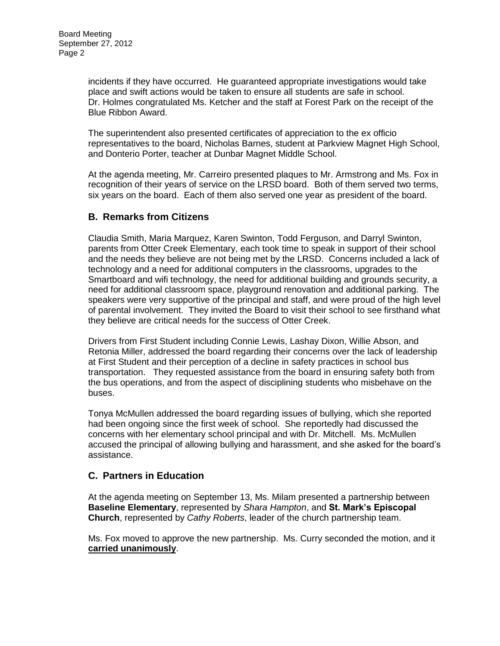incidents if they have occurred. He guaranteed appropriate investigations would take place and swift actions would be taken to ensure all students are safe in school. Dr. Holmes congratulated Ms. Ketcher and the staff at Forest Park on the receipt of the Blue Ribbon Award.

The superintendent also presented certificates of appreciation to the ex officio representatives to the board, Nicholas Barnes, student at Parkview Magnet High School, and Donterio Porter, teacher at Dunbar Magnet Middle School.

At the agenda meeting, Mr. Carreiro presented plaques to Mr. Armstrong and Ms. Fox in recognition of their years of service on the LRSD board. Both of them served two terms, six years on the board. Each of them also served one year as president of the board.

# **B. Remarks from Citizens**

Claudia Smith, Maria Marquez, Karen Swinton, Todd Ferguson, and Darryl Swinton, parents from Otter Creek Elementary, each took time to speak in support of their school and the needs they believe are not being met by the LRSD. Concerns included a lack of technology and a need for additional computers in the classrooms, upgrades to the Smartboard and wifi technology, the need for additional building and grounds security, a need for additional classroom space, playground renovation and additional parking. The speakers were very supportive of the principal and staff, and were proud of the high level of parental involvement. They invited the Board to visit their school to see firsthand what they believe are critical needs for the success of Otter Creek.

Drivers from First Student including Connie Lewis, Lashay Dixon, Willie Abson, and Retonia Miller, addressed the board regarding their concerns over the lack of leadership at First Student and their perception of a decline in safety practices in school bus transportation. They requested assistance from the board in ensuring safety both from the bus operations, and from the aspect of disciplining students who misbehave on the buses.

Tonya McMullen addressed the board regarding issues of bullying, which she reported had been ongoing since the first week of school. She reportedly had discussed the concerns with her elementary school principal and with Dr. Mitchell. Ms. McMullen accused the principal of allowing bullying and harassment, and she asked for the board's assistance.

# **C. Partners in Education**

At the agenda meeting on September 13, Ms. Milam presented a partnership between **Baseline Elementary**, represented by *Shara Hampton*, and **St. Mark's Episcopal Church**, represented by *Cathy Roberts*, leader of the church partnership team.

Ms. Fox moved to approve the new partnership. Ms. Curry seconded the motion, and it **carried unanimously**.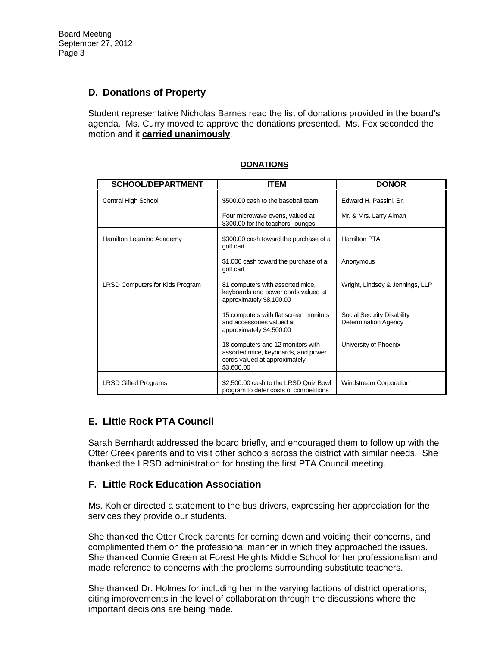# **D. Donations of Property**

Student representative Nicholas Barnes read the list of donations provided in the board's agenda. Ms. Curry moved to approve the donations presented. Ms. Fox seconded the motion and it **carried unanimously**.

| <b>SCHOOL/DEPARTMENT</b>               | <b>ITEM</b>                                                                                                             | <b>DONOR</b>                                              |
|----------------------------------------|-------------------------------------------------------------------------------------------------------------------------|-----------------------------------------------------------|
| Central High School                    | \$500.00 cash to the baseball team                                                                                      | Edward H. Passini, Sr.                                    |
|                                        | Four microwave ovens, valued at<br>\$300.00 for the teachers' lounges                                                   | Mr. & Mrs. Larry Alman                                    |
| Hamilton Learning Academy              | \$300.00 cash toward the purchase of a<br>golf cart                                                                     | Hamilton PTA                                              |
|                                        | \$1,000 cash toward the purchase of a<br>golf cart                                                                      | Anonymous                                                 |
| <b>LRSD Computers for Kids Program</b> | 81 computers with assorted mice,<br>keyboards and power cords valued at<br>approximately \$8,100.00                     | Wright, Lindsey & Jennings, LLP                           |
|                                        | 15 computers with flat screen monitors<br>and accessories valued at<br>approximately \$4,500.00                         | Social Security Disability<br><b>Determination Agency</b> |
|                                        | 18 computers and 12 monitors with<br>assorted mice, keyboards, and power<br>cords valued at approximately<br>\$3,600.00 | University of Phoenix                                     |
| <b>LRSD Gifted Programs</b>            | \$2,500.00 cash to the LRSD Quiz Bowl<br>program to defer costs of competitions                                         | <b>Windstream Corporation</b>                             |

### **DONATIONS**

# **E. Little Rock PTA Council**

Sarah Bernhardt addressed the board briefly, and encouraged them to follow up with the Otter Creek parents and to visit other schools across the district with similar needs. She thanked the LRSD administration for hosting the first PTA Council meeting.

# **F. Little Rock Education Association**

Ms. Kohler directed a statement to the bus drivers, expressing her appreciation for the services they provide our students.

She thanked the Otter Creek parents for coming down and voicing their concerns, and complimented them on the professional manner in which they approached the issues. She thanked Connie Green at Forest Heights Middle School for her professionalism and made reference to concerns with the problems surrounding substitute teachers.

She thanked Dr. Holmes for including her in the varying factions of district operations, citing improvements in the level of collaboration through the discussions where the important decisions are being made.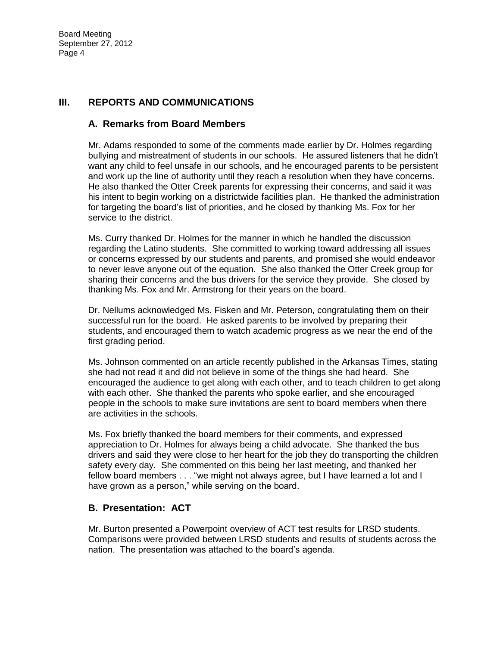# **III. REPORTS AND COMMUNICATIONS**

## **A. Remarks from Board Members**

Mr. Adams responded to some of the comments made earlier by Dr. Holmes regarding bullying and mistreatment of students in our schools. He assured listeners that he didn't want any child to feel unsafe in our schools, and he encouraged parents to be persistent and work up the line of authority until they reach a resolution when they have concerns. He also thanked the Otter Creek parents for expressing their concerns, and said it was his intent to begin working on a districtwide facilities plan. He thanked the administration for targeting the board's list of priorities, and he closed by thanking Ms. Fox for her service to the district.

Ms. Curry thanked Dr. Holmes for the manner in which he handled the discussion regarding the Latino students. She committed to working toward addressing all issues or concerns expressed by our students and parents, and promised she would endeavor to never leave anyone out of the equation. She also thanked the Otter Creek group for sharing their concerns and the bus drivers for the service they provide. She closed by thanking Ms. Fox and Mr. Armstrong for their years on the board.

Dr. Nellums acknowledged Ms. Fisken and Mr. Peterson, congratulating them on their successful run for the board. He asked parents to be involved by preparing their students, and encouraged them to watch academic progress as we near the end of the first grading period.

Ms. Johnson commented on an article recently published in the Arkansas Times, stating she had not read it and did not believe in some of the things she had heard. She encouraged the audience to get along with each other, and to teach children to get along with each other. She thanked the parents who spoke earlier, and she encouraged people in the schools to make sure invitations are sent to board members when there are activities in the schools.

Ms. Fox briefly thanked the board members for their comments, and expressed appreciation to Dr. Holmes for always being a child advocate. She thanked the bus drivers and said they were close to her heart for the job they do transporting the children safety every day. She commented on this being her last meeting, and thanked her fellow board members . . . "we might not always agree, but I have learned a lot and I have grown as a person," while serving on the board.

# **B. Presentation: ACT**

Mr. Burton presented a Powerpoint overview of ACT test results for LRSD students. Comparisons were provided between LRSD students and results of students across the nation. The presentation was attached to the board's agenda.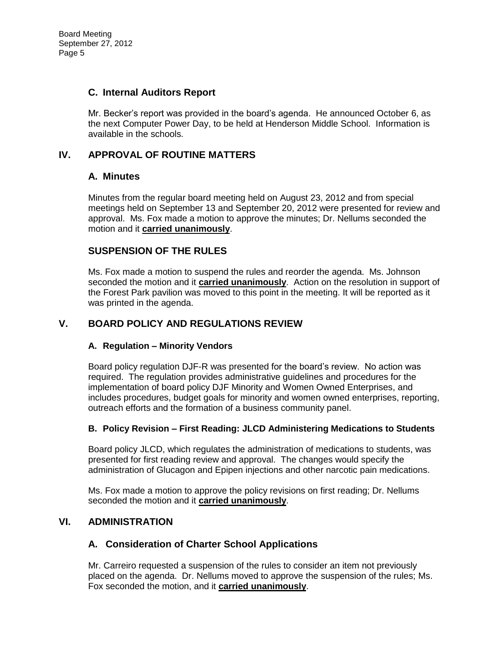Board Meeting September 27, 2012 Page 5

## **C. Internal Auditors Report**

Mr. Becker's report was provided in the board's agenda. He announced October 6, as the next Computer Power Day, to be held at Henderson Middle School. Information is available in the schools.

# **IV. APPROVAL OF ROUTINE MATTERS**

## **A. Minutes**

Minutes from the regular board meeting held on August 23, 2012 and from special meetings held on September 13 and September 20, 2012 were presented for review and approval. Ms. Fox made a motion to approve the minutes; Dr. Nellums seconded the motion and it **carried unanimously**.

# **SUSPENSION OF THE RULES**

Ms. Fox made a motion to suspend the rules and reorder the agenda. Ms. Johnson seconded the motion and it **carried unanimously**. Action on the resolution in support of the Forest Park pavilion was moved to this point in the meeting. It will be reported as it was printed in the agenda.

## **V. BOARD POLICY AND REGULATIONS REVIEW**

### **A. Regulation – Minority Vendors**

Board policy regulation DJF-R was presented for the board's review. No action was required. The regulation provides administrative guidelines and procedures for the implementation of board policy DJF Minority and Women Owned Enterprises, and includes procedures, budget goals for minority and women owned enterprises, reporting, outreach efforts and the formation of a business community panel.

### **B. Policy Revision – First Reading: JLCD Administering Medications to Students**

Board policy JLCD, which regulates the administration of medications to students, was presented for first reading review and approval. The changes would specify the administration of Glucagon and Epipen injections and other narcotic pain medications.

Ms. Fox made a motion to approve the policy revisions on first reading; Dr. Nellums seconded the motion and it **carried unanimously**.

### **VI. ADMINISTRATION**

### **A. Consideration of Charter School Applications**

Mr. Carreiro requested a suspension of the rules to consider an item not previously placed on the agenda. Dr. Nellums moved to approve the suspension of the rules; Ms. Fox seconded the motion, and it **carried unanimously**.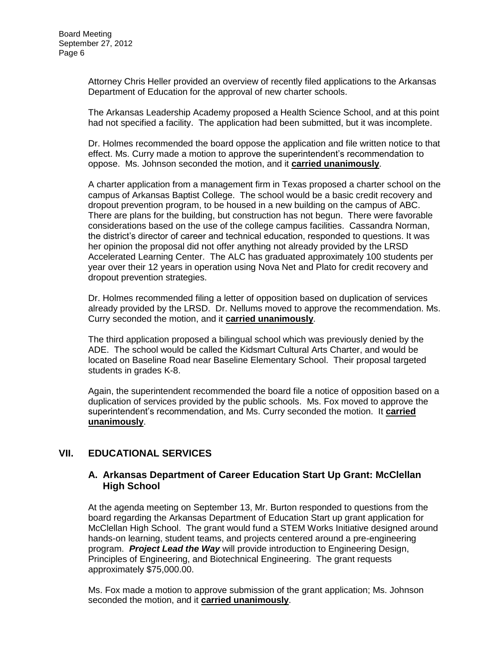Attorney Chris Heller provided an overview of recently filed applications to the Arkansas Department of Education for the approval of new charter schools.

The Arkansas Leadership Academy proposed a Health Science School, and at this point had not specified a facility. The application had been submitted, but it was incomplete.

Dr. Holmes recommended the board oppose the application and file written notice to that effect. Ms. Curry made a motion to approve the superintendent's recommendation to oppose. Ms. Johnson seconded the motion, and it **carried unanimously**.

A charter application from a management firm in Texas proposed a charter school on the campus of Arkansas Baptist College. The school would be a basic credit recovery and dropout prevention program, to be housed in a new building on the campus of ABC. There are plans for the building, but construction has not begun. There were favorable considerations based on the use of the college campus facilities. Cassandra Norman, the district's director of career and technical education, responded to questions. It was her opinion the proposal did not offer anything not already provided by the LRSD Accelerated Learning Center. The ALC has graduated approximately 100 students per year over their 12 years in operation using Nova Net and Plato for credit recovery and dropout prevention strategies.

Dr. Holmes recommended filing a letter of opposition based on duplication of services already provided by the LRSD. Dr. Nellums moved to approve the recommendation. Ms. Curry seconded the motion, and it **carried unanimously**.

The third application proposed a bilingual school which was previously denied by the ADE. The school would be called the Kidsmart Cultural Arts Charter, and would be located on Baseline Road near Baseline Elementary School. Their proposal targeted students in grades K-8.

Again, the superintendent recommended the board file a notice of opposition based on a duplication of services provided by the public schools. Ms. Fox moved to approve the superintendent's recommendation, and Ms. Curry seconded the motion. It **carried unanimously**.

# **VII. EDUCATIONAL SERVICES**

### **A. Arkansas Department of Career Education Start Up Grant: McClellan High School**

At the agenda meeting on September 13, Mr. Burton responded to questions from the board regarding the Arkansas Department of Education Start up grant application for McClellan High School. The grant would fund a STEM Works Initiative designed around hands-on learning, student teams, and projects centered around a pre-engineering program. *Project Lead the Way* will provide introduction to Engineering Design, Principles of Engineering, and Biotechnical Engineering. The grant requests approximately \$75,000.00.

Ms. Fox made a motion to approve submission of the grant application; Ms. Johnson seconded the motion, and it **carried unanimously**.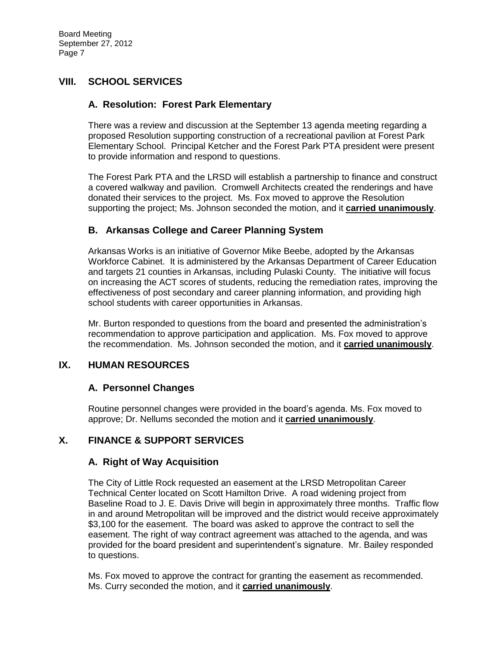# **VIII. SCHOOL SERVICES**

# **A. Resolution: Forest Park Elementary**

There was a review and discussion at the September 13 agenda meeting regarding a proposed Resolution supporting construction of a recreational pavilion at Forest Park Elementary School. Principal Ketcher and the Forest Park PTA president were present to provide information and respond to questions.

The Forest Park PTA and the LRSD will establish a partnership to finance and construct a covered walkway and pavilion. Cromwell Architects created the renderings and have donated their services to the project. Ms. Fox moved to approve the Resolution supporting the project; Ms. Johnson seconded the motion, and it **carried unanimously**.

# **B. Arkansas College and Career Planning System**

Arkansas Works is an initiative of Governor Mike Beebe, adopted by the Arkansas Workforce Cabinet. It is administered by the Arkansas Department of Career Education and targets 21 counties in Arkansas, including Pulaski County. The initiative will focus on increasing the ACT scores of students, reducing the remediation rates, improving the effectiveness of post secondary and career planning information, and providing high school students with career opportunities in Arkansas.

Mr. Burton responded to questions from the board and presented the administration's recommendation to approve participation and application. Ms. Fox moved to approve the recommendation. Ms. Johnson seconded the motion, and it **carried unanimously**.

# **IX. HUMAN RESOURCES**

# **A. Personnel Changes**

Routine personnel changes were provided in the board's agenda. Ms. Fox moved to approve; Dr. Nellums seconded the motion and it **carried unanimously**.

# **X. FINANCE & SUPPORT SERVICES**

# **A. Right of Way Acquisition**

The City of Little Rock requested an easement at the LRSD Metropolitan Career Technical Center located on Scott Hamilton Drive. A road widening project from Baseline Road to J. E. Davis Drive will begin in approximately three months. Traffic flow in and around Metropolitan will be improved and the district would receive approximately \$3,100 for the easement. The board was asked to approve the contract to sell the easement. The right of way contract agreement was attached to the agenda, and was provided for the board president and superintendent's signature. Mr. Bailey responded to questions.

Ms. Fox moved to approve the contract for granting the easement as recommended. Ms. Curry seconded the motion, and it **carried unanimously**.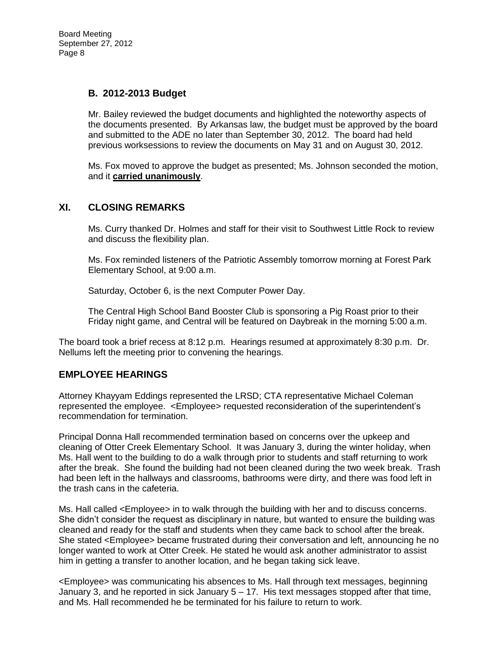Board Meeting September 27, 2012 Page 8

## **B. 2012-2013 Budget**

Mr. Bailey reviewed the budget documents and highlighted the noteworthy aspects of the documents presented. By Arkansas law, the budget must be approved by the board and submitted to the ADE no later than September 30, 2012. The board had held previous worksessions to review the documents on May 31 and on August 30, 2012.

Ms. Fox moved to approve the budget as presented; Ms. Johnson seconded the motion, and it **carried unanimously**.

### **XI. CLOSING REMARKS**

Ms. Curry thanked Dr. Holmes and staff for their visit to Southwest Little Rock to review and discuss the flexibility plan.

Ms. Fox reminded listeners of the Patriotic Assembly tomorrow morning at Forest Park Elementary School, at 9:00 a.m.

Saturday, October 6, is the next Computer Power Day.

The Central High School Band Booster Club is sponsoring a Pig Roast prior to their Friday night game, and Central will be featured on Daybreak in the morning 5:00 a.m.

The board took a brief recess at 8:12 p.m. Hearings resumed at approximately 8:30 p.m. Dr. Nellums left the meeting prior to convening the hearings.

# **EMPLOYEE HEARINGS**

Attorney Khayyam Eddings represented the LRSD; CTA representative Michael Coleman represented the employee. <Employee> requested reconsideration of the superintendent's recommendation for termination.

Principal Donna Hall recommended termination based on concerns over the upkeep and cleaning of Otter Creek Elementary School. It was January 3, during the winter holiday, when Ms. Hall went to the building to do a walk through prior to students and staff returning to work after the break. She found the building had not been cleaned during the two week break. Trash had been left in the hallways and classrooms, bathrooms were dirty, and there was food left in the trash cans in the cafeteria.

Ms. Hall called <Employee> in to walk through the building with her and to discuss concerns. She didn't consider the request as disciplinary in nature, but wanted to ensure the building was cleaned and ready for the staff and students when they came back to school after the break. She stated <Employee> became frustrated during their conversation and left, announcing he no longer wanted to work at Otter Creek. He stated he would ask another administrator to assist him in getting a transfer to another location, and he began taking sick leave.

<Employee> was communicating his absences to Ms. Hall through text messages, beginning January 3, and he reported in sick January 5 – 17. His text messages stopped after that time, and Ms. Hall recommended he be terminated for his failure to return to work.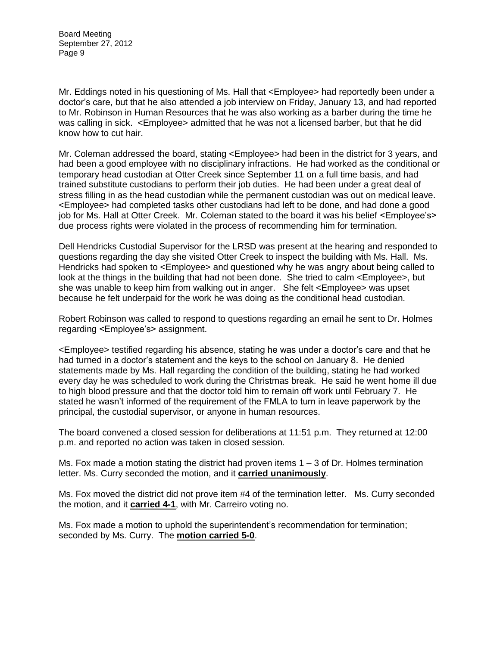Mr. Eddings noted in his questioning of Ms. Hall that <Employee> had reportedly been under a doctor's care, but that he also attended a job interview on Friday, January 13, and had reported to Mr. Robinson in Human Resources that he was also working as a barber during the time he was calling in sick. <Employee> admitted that he was not a licensed barber, but that he did know how to cut hair.

Mr. Coleman addressed the board, stating <Employee> had been in the district for 3 years, and had been a good employee with no disciplinary infractions. He had worked as the conditional or temporary head custodian at Otter Creek since September 11 on a full time basis, and had trained substitute custodians to perform their job duties. He had been under a great deal of stress filling in as the head custodian while the permanent custodian was out on medical leave. <Employee> had completed tasks other custodians had left to be done, and had done a good job for Ms. Hall at Otter Creek. Mr. Coleman stated to the board it was his belief <Employee's> due process rights were violated in the process of recommending him for termination.

Dell Hendricks Custodial Supervisor for the LRSD was present at the hearing and responded to questions regarding the day she visited Otter Creek to inspect the building with Ms. Hall. Ms. Hendricks had spoken to <Employee> and questioned why he was angry about being called to look at the things in the building that had not been done. She tried to calm <Employee>, but she was unable to keep him from walking out in anger. She felt <Employee> was upset because he felt underpaid for the work he was doing as the conditional head custodian.

Robert Robinson was called to respond to questions regarding an email he sent to Dr. Holmes regarding <Employee's> assignment.

<Employee> testified regarding his absence, stating he was under a doctor's care and that he had turned in a doctor's statement and the keys to the school on January 8. He denied statements made by Ms. Hall regarding the condition of the building, stating he had worked every day he was scheduled to work during the Christmas break. He said he went home ill due to high blood pressure and that the doctor told him to remain off work until February 7. He stated he wasn't informed of the requirement of the FMLA to turn in leave paperwork by the principal, the custodial supervisor, or anyone in human resources.

The board convened a closed session for deliberations at 11:51 p.m. They returned at 12:00 p.m. and reported no action was taken in closed session.

Ms. Fox made a motion stating the district had proven items  $1 - 3$  of Dr. Holmes termination letter. Ms. Curry seconded the motion, and it **carried unanimously**.

Ms. Fox moved the district did not prove item #4 of the termination letter. Ms. Curry seconded the motion, and it **carried 4-1**, with Mr. Carreiro voting no.

Ms. Fox made a motion to uphold the superintendent's recommendation for termination; seconded by Ms. Curry. The **motion carried 5-0**.